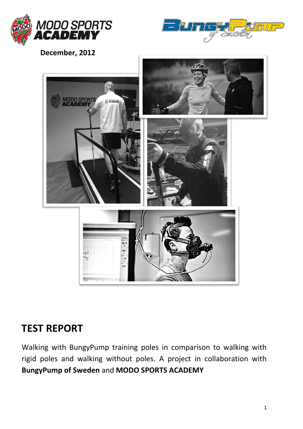



 **December, 2012**



## **TEST REPORT**

Walking with BungyPump training poles in comparison to walking with rigid poles and walking without poles. A project in collaboration with **BungyPump of Sweden** and **MODO SPORTS ACADEMY**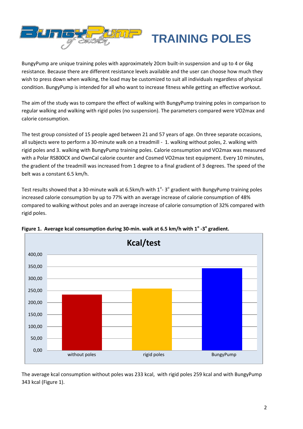

## **TRAINING POLES**

BungyPump are unique training poles with approximately 20cm built-in suspension and up to 4 or 6kg resistance. Because there are different resistance levels available and the user can choose how much they wish to press down when walking, the load may be customized to suit all individuals regardless of physical condition. BungyPump is intended for all who want to increase fitness while getting an effective workout.

The aim of the study was to compare the effect of walking with BungyPump training poles in comparison to regular walking and walking with rigid poles (no suspension). The parameters compared were VO2max and calorie consumption.

The test group consisted of 15 people aged between 21 and 57 years of age. On three separate occasions, all subjects were to perform a 30-minute walk on a treadmill - 1. walking without poles, 2. walking with rigid poles and 3. walking with BungyPump training poles. Calorie consumption and VO2max was measured with a Polar RS800CX and OwnCal calorie counter and Cosmed VO2max test equipment. Every 10 minutes, the gradient of the treadmill was increased from 1 degree to a final gradient of 3 degrees. The speed of the belt was a constant 6.5 km/h.

Test results showed that a 30-minute walk at 6.5km/h with  $1^{\circ}$ - 3 $^{\circ}$  gradient with BungyPump training poles increased calorie consumption by up to 77% with an average increase of calorie consumption of 48% compared to walking without poles and an average increase of calorie consumption of 32% compared with rigid poles.



Figure 1. Average kcal consumption during 30-min. walk at 6.5 km/h with 1<sup>°</sup> -3<sup>°</sup> gradient.

The average kcal consumption without poles was 233 kcal, with rigid poles 259 kcal and with BungyPump 343 kcal (Figure 1).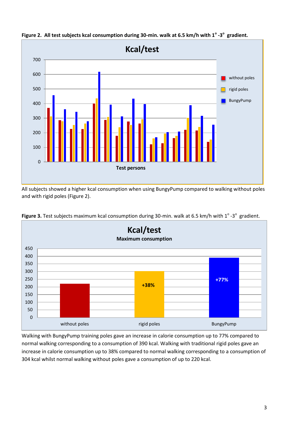

Figure 2. All test subjects kcal consumption during 30-min. walk at 6.5 km/h with 1<sup>°</sup> -3<sup>°</sup> gradient.

All subjects showed a higher kcal consumption when using BungyPump compared to walking without poles and with rigid poles (Figure 2).



Figure 3. Test subjects maximum kcal consumption during 30-min. walk at 6.5 km/h with 1<sup>o</sup>-3<sup>o</sup> gradient.

Walking with BungyPump training poles gave an increase in calorie consumption up to 77% compared to normal walking corresponding to a consumption of 390 kcal. Walking with traditional rigid poles gave an increase in calorie consumption up to 38% compared to normal walking corresponding to a consumption of 304 kcal whilst normal walking without poles gave a consumption of up to 220 kcal.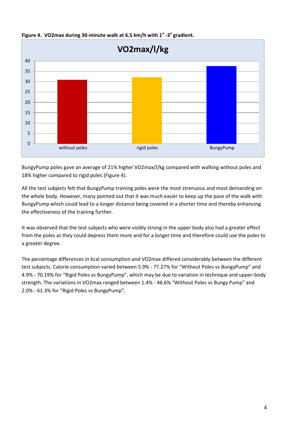

**Figure 4. VO2max during 30-minute walk at 6.5 km/h with 1<sup>o</sup> -3 o gradient.**

BungyPump poles gave an average of 21% higher VO2max/l/kg compared with walking without poles and 18% higher compared to rigid poles (Figure 4).

All the test subjects felt that BungyPump training poles were the most strenuous and most demanding on the whole body. However, many pointed out that it was much easier to keep up the pace of the walk with BungyPump which could lead to a longer distance being covered in a shorter time and thereby enhancing the effectiveness of the training further.

It was observed that the test subjects who were visibly strong in the upper body also had a greater effect from the poles as they could depress them more and for a longer time and therefore could use the poles to a greater degree.

The percentage differences in kcal consumption and VO2max differed considerably between the different test subjects. Calorie consumption varied between 5.9% - 77.27% for "Without Poles vs BungyPump" and 4.9% - 70.19% for "Rigid Poles vs BungyPump", which may be due to variation in technique and upper-body strength. The variations in VO2max ranged between 1.4% - 46.6% "Without Poles vs Bungy Pump" and 2.0% - 61.3% for "Rigid Poles vs BungyPump".